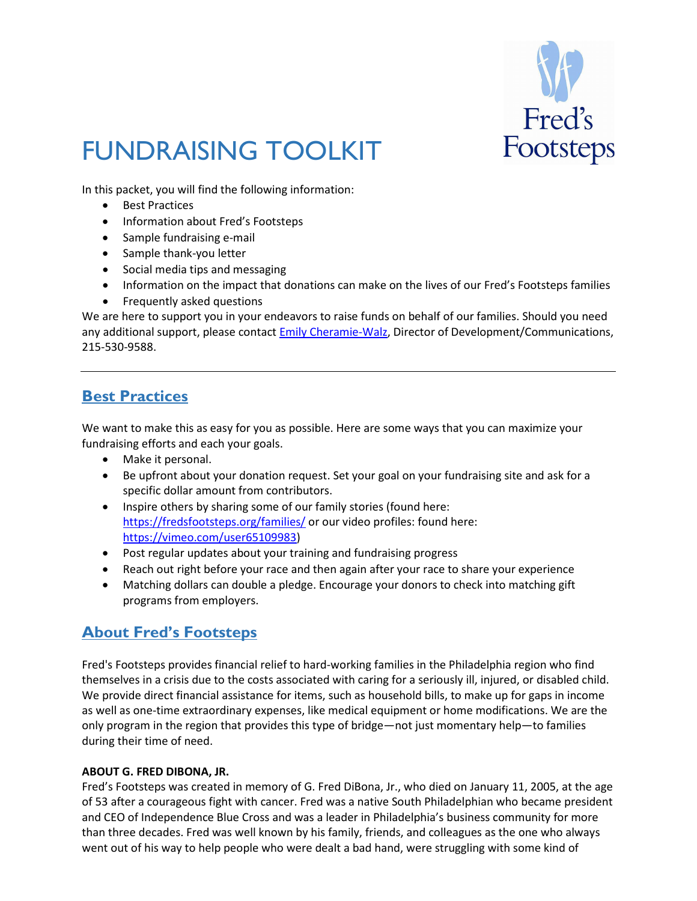

# FUNDRAISING TOOLKIT

In this packet, you will find the following information:

- Best Practices
- Information about Fred's Footsteps
- Sample fundraising e-mail
- Sample thank-you letter
- Social media tips and messaging
- Information on the impact that donations can make on the lives of our Fred's Footsteps families
- Frequently asked questions

We are here to support you in your endeavors to raise funds on behalf of our families. Should you need any additional support, please contact **Emily Cheramie-Walz**, Director of Development/Communications, 215-530-9588.

## **Best Practices**

We want to make this as easy for you as possible. Here are some ways that you can maximize your fundraising efforts and each your goals.

- Make it personal.
- Be upfront about your donation request. Set your goal on your fundraising site and ask for a specific dollar amount from contributors.
- Inspire others by sharing some of our family stories (found here: <https://fredsfootsteps.org/families/> or our video profiles: found here: [https://vimeo.com/user65109983\)](https://vimeo.com/user65109983)
- Post regular updates about your training and fundraising progress
- Reach out right before your race and then again after your race to share your experience
- Matching dollars can double a pledge. Encourage your donors to check into matching gift programs from employers.

# **About Fred's Footsteps**

Fred's Footsteps provides financial relief to hard-working families in the Philadelphia region who find themselves in a crisis due to the costs associated with caring for a seriously ill, injured, or disabled child. We provide direct financial assistance for items, such as household bills, to make up for gaps in income as well as one-time extraordinary expenses, like medical equipment or home modifications. We are the only program in the region that provides this type of bridge—not just momentary help—to families during their time of need.

#### **ABOUT G. FRED DIBONA, JR.**

Fred's Footsteps was created in memory of G. Fred DiBona, Jr., who died on January 11, 2005, at the age of 53 after a courageous fight with cancer. Fred was a native South Philadelphian who became president and CEO of Independence Blue Cross and was a leader in Philadelphia's business community for more than three decades. Fred was well known by his family, friends, and colleagues as the one who always went out of his way to help people who were dealt a bad hand, were struggling with some kind of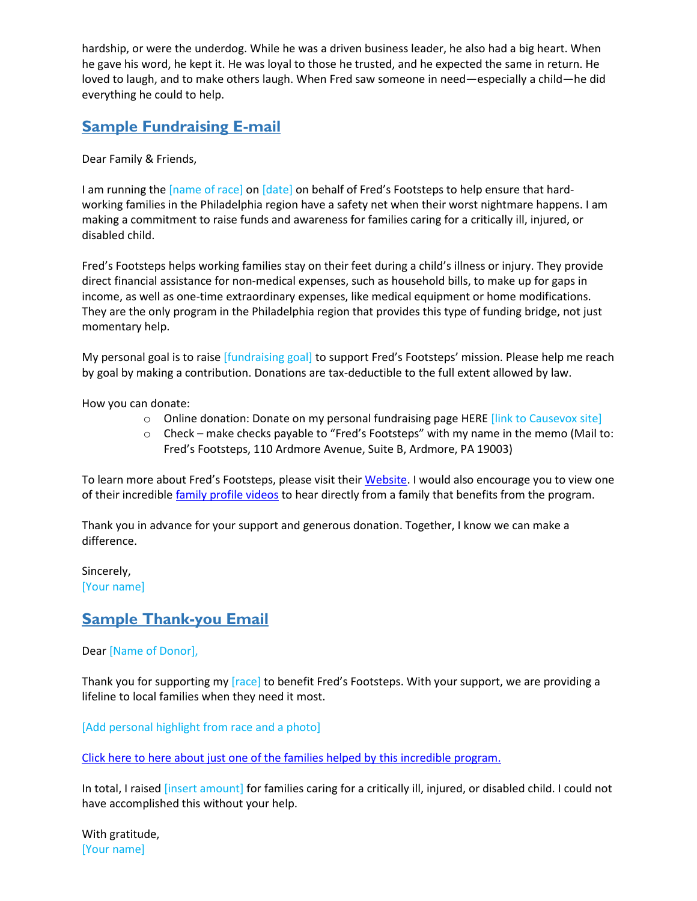hardship, or were the underdog. While he was a driven business leader, he also had a big heart. When he gave his word, he kept it. He was loyal to those he trusted, and he expected the same in return. He loved to laugh, and to make others laugh. When Fred saw someone in need—especially a child—he did everything he could to help.

# **Sample Fundraising E-mail**

Dear Family & Friends,

I am running the [name of race] on [date] on behalf of Fred's Footsteps to help ensure that hardworking families in the Philadelphia region have a safety net when their worst nightmare happens. I am making a commitment to raise funds and awareness for families caring for a critically ill, injured, or disabled child.

Fred's Footsteps helps working families stay on their feet during a child's illness or injury. They provide direct financial assistance for non-medical expenses, such as household bills, to make up for gaps in income, as well as one-time extraordinary expenses, like medical equipment or home modifications. They are the only program in the Philadelphia region that provides this type of funding bridge, not just momentary help.

My personal goal is to raise [fundraising goal] to support Fred's Footsteps' mission. Please help me reach by goal by making a contribution. Donations are tax-deductible to the full extent allowed by law.

How you can donate:

- o Online donation: Donate on my personal fundraising page HERE [link to Causevox site]
- o Check make checks payable to "Fred's Footsteps" with my name in the memo (Mail to: Fred's Footsteps, 110 Ardmore Avenue, Suite B, Ardmore, PA 19003)

To learn more about Fred's Footsteps, please visit thei[r Website.](https://fredsfootsteps.org/families/) I would also encourage you to view one of their incredible [family profile videos](https://vimeo.com/user65109983) to hear directly from a family that benefits from the program.

Thank you in advance for your support and generous donation. Together, I know we can make a difference.

Sincerely, [Your name]

## **Sample Thank-you Email**

## Dear [Name of Donor],

Thank you for supporting my [race] to benefit Fred's Footsteps. With your support, we are providing a lifeline to local families when they need it most.

[Add personal highlight from race and a photo]

[Click here to here about just one of the families helped by this incredible program.](https://vimeo.com/324300678)

In total, I raised [insert amount] for families caring for a critically ill, injured, or disabled child. I could not have accomplished this without your help.

With gratitude, [Your name]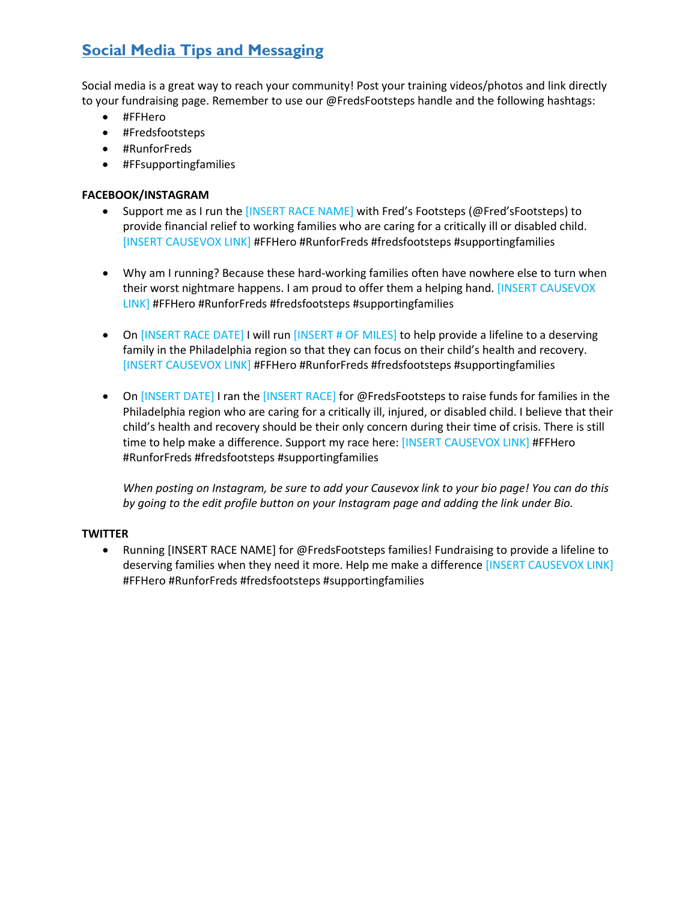# **Social Media Tips and Messaging**

Social media is a great way to reach your community! Post your training videos/photos and link directly to your fundraising page. Remember to use our @FredsFootsteps handle and the following hashtags:

- #FFHero
- #Fredsfootsteps
- #RunforFreds
- #FFsupportingfamilies

## **FACEBOOK/INSTAGRAM**

- Support me as I run the [INSERT RACE NAME] with Fred's Footsteps (@Fred'sFootsteps) to provide financial relief to working families who are caring for a critically ill or disabled child. [INSERT CAUSEVOX LINK] #FFHero #RunforFreds #fredsfootsteps #supportingfamilies
- Why am I running? Because these hard-working families often have nowhere else to turn when their worst nightmare happens. I am proud to offer them a helping hand. [INSERT CAUSEVOX LINK] #FFHero #RunforFreds #fredsfootsteps #supportingfamilies
- On [INSERT RACE DATE] I will run [INSERT # OF MILES] to help provide a lifeline to a deserving family in the Philadelphia region so that they can focus on their child's health and recovery. [INSERT CAUSEVOX LINK] #FFHero #RunforFreds #fredsfootsteps #supportingfamilies
- On [INSERT DATE] I ran the [INSERT RACE] for @FredsFootsteps to raise funds for families in the Philadelphia region who are caring for a critically ill, injured, or disabled child. I believe that their child's health and recovery should be their only concern during their time of crisis. There is still time to help make a difference. Support my race here: [INSERT CAUSEVOX LINK] #FFHero #RunforFreds #fredsfootsteps #supportingfamilies

*When posting on Instagram, be sure to add your Causevox link to your bio page! You can do this by going to the edit profile button on your Instagram page and adding the link under Bio.* 

#### **TWITTER**

• Running [INSERT RACE NAME] for @FredsFootsteps families! Fundraising to provide a lifeline to deserving families when they need it more. Help me make a difference [INSERT CAUSEVOX LINK] #FFHero #RunforFreds #fredsfootsteps #supportingfamilies